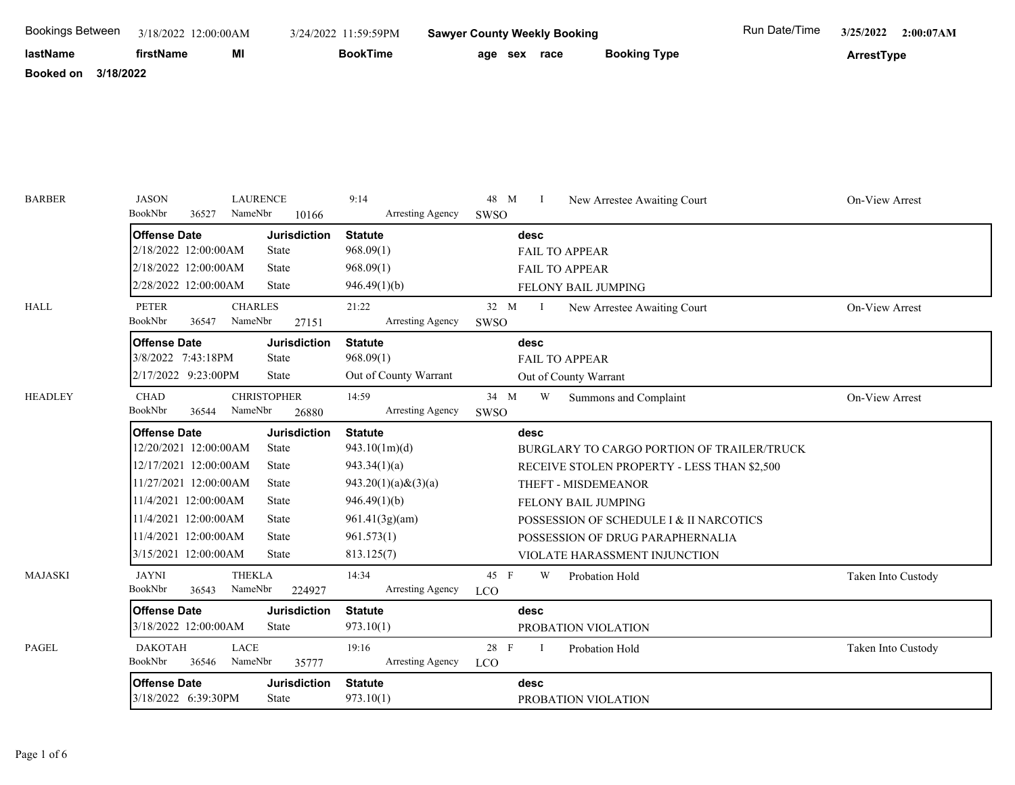| <b>Bookings Between</b>       | 3/18/2022 12:00:00AM                          |                              | 3/24/2022 11:59:59PM           | <b>Sawyer County Weekly Booking</b>                            | Run Date/Time<br>3/25/2022<br>2:00:07AM |
|-------------------------------|-----------------------------------------------|------------------------------|--------------------------------|----------------------------------------------------------------|-----------------------------------------|
| lastName                      | firstName<br>MI                               |                              | <b>BookTime</b>                | <b>Booking Type</b><br>age sex race                            | ArrestType                              |
| 3/18/2022<br><b>Booked on</b> |                                               |                              |                                |                                                                |                                         |
|                               |                                               |                              |                                |                                                                |                                         |
|                               |                                               |                              |                                |                                                                |                                         |
|                               |                                               |                              |                                |                                                                |                                         |
|                               |                                               |                              |                                |                                                                |                                         |
|                               |                                               |                              |                                |                                                                |                                         |
|                               |                                               |                              |                                |                                                                |                                         |
| <b>BARBER</b>                 | <b>JASON</b><br>BookNbr<br>NameNbr<br>36527   | <b>LAURENCE</b>              | 9:14<br>Arresting Agency       | 48 M<br>New Arrestee Awaiting Court<br>$\mathbf{I}$            | On-View Arrest                          |
|                               |                                               | 10166                        |                                | SWSO                                                           |                                         |
|                               | <b>Offense Date</b><br>2/18/2022 12:00:00AM   | <b>Jurisdiction</b><br>State | <b>Statute</b><br>968.09(1)    | desc<br><b>FAIL TO APPEAR</b>                                  |                                         |
|                               | 2/18/2022 12:00:00AM                          | State                        | 968.09(1)                      | FAIL TO APPEAR                                                 |                                         |
|                               | 2/28/2022 12:00:00AM                          | State                        | 946.49(1)(b)                   | FELONY BAIL JUMPING                                            |                                         |
| <b>HALL</b>                   | <b>PETER</b><br><b>CHARLES</b>                |                              | 21:22                          | 32 M<br>$\mathbf{I}$<br>New Arrestee Awaiting Court            | On-View Arrest                          |
|                               | BookNbr<br>NameNbr<br>36547                   | 27151                        | Arresting Agency               | SWSO                                                           |                                         |
|                               | <b>Offense Date</b>                           | <b>Jurisdiction</b>          | <b>Statute</b>                 | desc                                                           |                                         |
|                               | 3/8/2022 7:43:18PM                            | State                        | 968.09(1)                      | <b>FAIL TO APPEAR</b>                                          |                                         |
|                               | 2/17/2022 9:23:00PM                           | State                        | Out of County Warrant          | Out of County Warrant                                          |                                         |
| <b>HEADLEY</b>                | <b>CHAD</b>                                   | <b>CHRISTOPHER</b>           | 14:59                          | 34 M<br>W<br>Summons and Complaint                             | On-View Arrest                          |
|                               | BookNbr<br>NameNbr<br>36544                   | 26880                        | Arresting Agency               | SWSO                                                           |                                         |
|                               | <b>Offense Date</b>                           | <b>Jurisdiction</b>          | <b>Statute</b>                 | desc                                                           |                                         |
|                               | 12/20/2021 12:00:00AM                         | State                        | 943.10(1m)(d)                  | BURGLARY TO CARGO PORTION OF TRAILER/TRUCK                     |                                         |
|                               | 12/17/2021 12:00:00AM                         | State                        | 943.34(1)(a)                   | RECEIVE STOLEN PROPERTY - LESS THAN \$2,500                    |                                         |
|                               | 11/27/2021 12:00:00AM<br>11/4/2021 12:00:00AM | State<br>State               | $943.20(1)(a)$ & $(3)(a)$      | THEFT - MISDEMEANOR                                            |                                         |
|                               | 11/4/2021 12:00:00AM                          | State                        | 946.49(1)(b)<br>961.41(3g)(am) | FELONY BAIL JUMPING<br>POSSESSION OF SCHEDULE I & II NARCOTICS |                                         |
|                               | 11/4/2021 12:00:00AM                          | <b>State</b>                 | 961.573(1)                     | POSSESSION OF DRUG PARAPHERNALIA                               |                                         |
|                               | 3/15/2021 12:00:00AM                          | State                        | 813.125(7)                     | VIOLATE HARASSMENT INJUNCTION                                  |                                         |
| <b>MAJASKI</b>                | <b>JAYNI</b><br><b>THEKLA</b>                 |                              | 14:34                          | 45 F<br>W<br>Probation Hold                                    | Taken Into Custody                      |
|                               | BookNbr<br>NameNbr<br>36543                   | 224927                       | Arresting Agency               | <b>LCO</b>                                                     |                                         |
|                               | <b>Offense Date</b>                           | <b>Jurisdiction</b>          | <b>Statute</b>                 | desc                                                           |                                         |
|                               | 3/18/2022 12:00:00AM                          | State                        | 973.10(1)                      | PROBATION VIOLATION                                            |                                         |
| PAGEL                         | LACE<br><b>DAKOTAH</b>                        |                              | 19:16                          | 28 F<br>$\bf{I}$<br>Probation Hold                             | Taken Into Custody                      |
|                               | BookNbr<br>NameNbr<br>36546                   | 35777                        | Arresting Agency               | <b>LCO</b>                                                     |                                         |
|                               | <b>Offense Date</b>                           | <b>Jurisdiction</b>          | <b>Statute</b>                 | desc                                                           |                                         |
|                               | 3/18/2022 6:39:30PM                           | State                        | 973.10(1)                      | PROBATION VIOLATION                                            |                                         |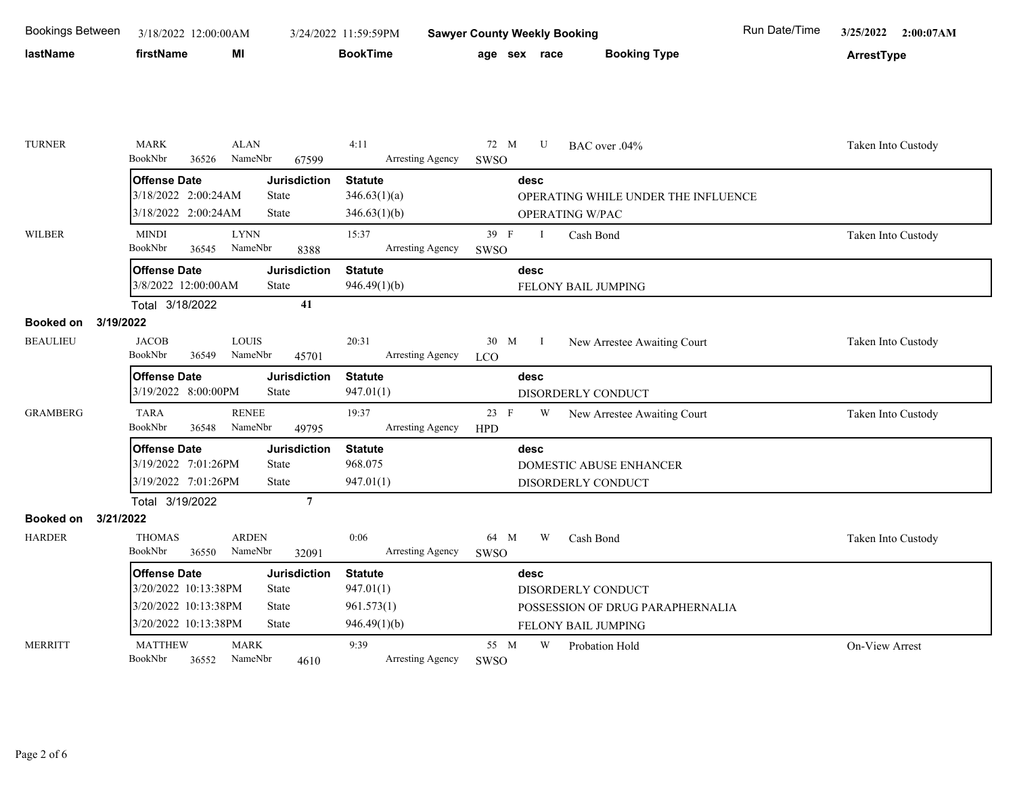| <b>Bookings Between</b>       | 3/18/2022 12:00:00AM                        |                                     | 3/24/2022 11:59:59PM        | <b>Sawyer County Weekly Booking</b>                    | Run Date/Time<br>3/25/2022<br>2:00:07AM |
|-------------------------------|---------------------------------------------|-------------------------------------|-----------------------------|--------------------------------------------------------|-----------------------------------------|
| lastName                      | firstName                                   | MI                                  | <b>BookTime</b>             | <b>Booking Type</b><br>age sex race                    | ArrestType                              |
|                               |                                             |                                     |                             |                                                        |                                         |
|                               |                                             |                                     |                             |                                                        |                                         |
| <b>TURNER</b>                 | <b>MARK</b><br>BookNbr<br>36526             | <b>ALAN</b><br>NameNbr<br>67599     | 4:11<br>Arresting Agency    | 72 M<br>U<br>BAC over .04%<br>SWSO                     | Taken Into Custody                      |
|                               | <b>Offense Date</b>                         | <b>Jurisdiction</b>                 | <b>Statute</b>              | desc                                                   |                                         |
|                               | 3/18/2022 2:00:24AM                         | State                               | 346.63(1)(a)                | OPERATING WHILE UNDER THE INFLUENCE                    |                                         |
|                               | 3/18/2022 2:00:24AM                         | <b>State</b>                        | 346.63(1)(b)                | OPERATING W/PAC                                        |                                         |
| <b>WILBER</b>                 | <b>MINDI</b>                                | <b>LYNN</b>                         | 15:37                       | 39 F<br>$\mathbf{I}$<br>Cash Bond                      | Taken Into Custody                      |
|                               | BookNbr<br>36545                            | NameNbr<br>8388                     | Arresting Agency            | SWSO                                                   |                                         |
|                               | <b>Offense Date</b>                         | <b>Jurisdiction</b>                 | <b>Statute</b>              | desc                                                   |                                         |
|                               | 3/8/2022 12:00:00AM                         | <b>State</b>                        | 946.49(1)(b)                | FELONY BAIL JUMPING                                    |                                         |
|                               | Total 3/18/2022                             | 41                                  |                             |                                                        |                                         |
| <b>Booked on</b><br>3/19/2022 |                                             |                                     |                             |                                                        |                                         |
| <b>BEAULIEU</b>               | <b>JACOB</b><br>BookNbr                     | <b>LOUIS</b><br>NameNbr             | 20:31                       | 30 M<br>$\mathbf{I}$<br>New Arrestee Awaiting Court    | Taken Into Custody                      |
|                               | 36549                                       | 45701                               | Arresting Agency            | <b>LCO</b>                                             |                                         |
|                               | <b>Offense Date</b><br>3/19/2022 8:00:00PM  | <b>Jurisdiction</b><br>State        | <b>Statute</b><br>947.01(1) | desc                                                   |                                         |
|                               |                                             |                                     |                             | DISORDERLY CONDUCT                                     |                                         |
| <b>GRAMBERG</b>               | <b>TARA</b><br>BookNbr<br>36548             | <b>RENEE</b><br>NameNbr<br>49795    | 19:37<br>Arresting Agency   | 23 F<br>W<br>New Arrestee Awaiting Court<br><b>HPD</b> | Taken Into Custody                      |
|                               | <b>Offense Date</b>                         | <b>Jurisdiction</b>                 | <b>Statute</b>              | desc                                                   |                                         |
|                               | 3/19/2022 7:01:26PM                         | State                               | 968.075                     | DOMESTIC ABUSE ENHANCER                                |                                         |
|                               | 3/19/2022 7:01:26PM                         | <b>State</b>                        | 947.01(1)                   | DISORDERLY CONDUCT                                     |                                         |
|                               | Total 3/19/2022                             | $\overline{7}$                      |                             |                                                        |                                         |
| <b>Booked on</b><br>3/21/2022 |                                             |                                     |                             |                                                        |                                         |
| <b>HARDER</b>                 | <b>THOMAS</b>                               | <b>ARDEN</b>                        | 0:06                        | 64 M<br>W<br>Cash Bond                                 | Taken Into Custody                      |
|                               | BookNbr<br>36550                            | NameNbr<br>32091                    | Arresting Agency            | SWSO                                                   |                                         |
|                               | <b>Offense Date</b><br>3/20/2022 10:13:38PM | <b>Jurisdiction</b><br><b>State</b> | <b>Statute</b><br>947.01(1) | desc<br>DISORDERLY CONDUCT                             |                                         |
|                               | 3/20/2022 10:13:38PM                        | <b>State</b>                        | 961.573(1)                  | POSSESSION OF DRUG PARAPHERNALIA                       |                                         |
|                               | 3/20/2022 10:13:38PM                        | State                               | 946.49(1)(b)                | FELONY BAIL JUMPING                                    |                                         |
| <b>MERRITT</b>                | <b>MATTHEW</b><br>BookNbr<br>36552          | <b>MARK</b><br>NameNbr<br>4610      | 9:39<br>Arresting Agency    | 55 M<br>W<br>Probation Hold<br>SWSO                    | <b>On-View Arrest</b>                   |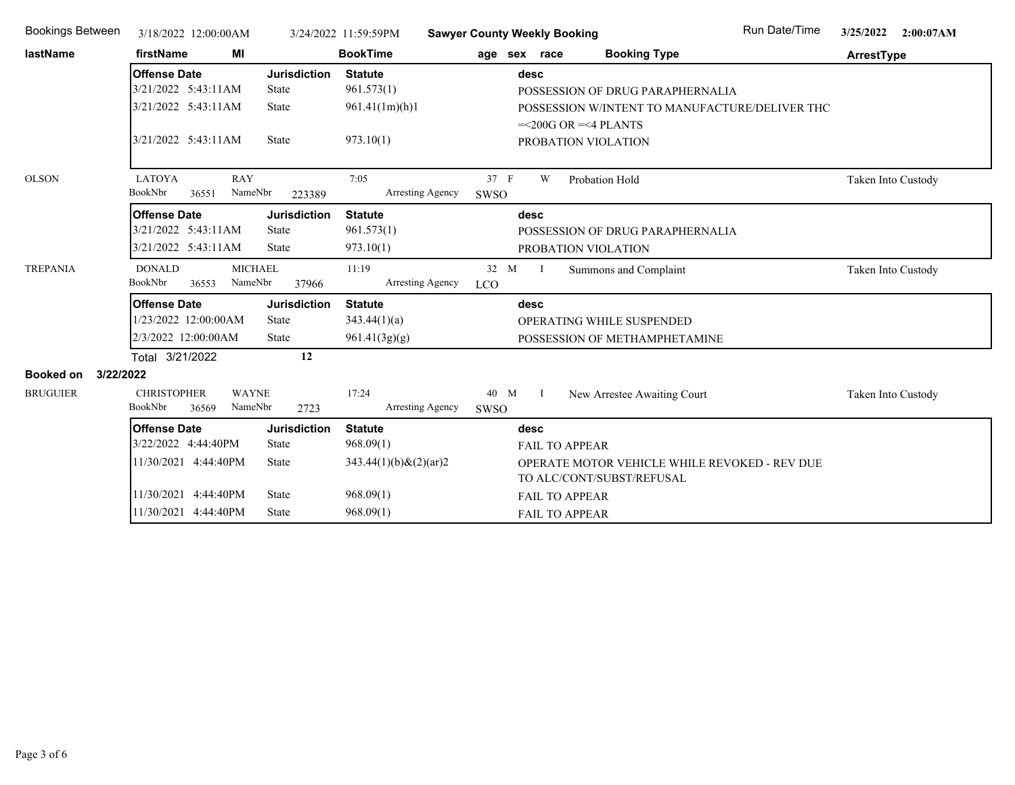| <b>Bookings Between</b> | 3/18/2022 12:00:00AM               |                     | 3/24/2022 11:59:59PM       | <b>Sawyer County Weekly Booking</b> |              |                                                                            | Run Date/Time | 3/25/2022          | 2:00:07AM |
|-------------------------|------------------------------------|---------------------|----------------------------|-------------------------------------|--------------|----------------------------------------------------------------------------|---------------|--------------------|-----------|
| lastName                | firstName<br>МI                    |                     | <b>BookTime</b>            | age sex race                        |              | <b>Booking Type</b>                                                        |               | ArrestType         |           |
|                         | <b>Offense Date</b>                | <b>Jurisdiction</b> | <b>Statute</b>             |                                     | desc         |                                                                            |               |                    |           |
|                         | 3/21/2022 5:43:11AM                | <b>State</b>        | 961.573(1)                 |                                     |              | POSSESSION OF DRUG PARAPHERNALIA                                           |               |                    |           |
|                         | 3/21/2022 5:43:11AM                | <b>State</b>        | 961.41(1m)(h)1             |                                     |              | POSSESSION W/INTENT TO MANUFACTURE/DELIVER THC                             |               |                    |           |
|                         |                                    |                     |                            |                                     |              | $=<200G$ OR $=<4$ PLANTS                                                   |               |                    |           |
|                         | 3/21/2022 5:43:11AM                | <b>State</b>        | 973.10(1)                  |                                     |              | PROBATION VIOLATION                                                        |               |                    |           |
|                         |                                    |                     |                            |                                     |              |                                                                            |               |                    |           |
| <b>OLSON</b>            | <b>LATOYA</b><br><b>RAY</b>        |                     | 7:05                       | 37 F                                | W            | Probation Hold                                                             |               | Taken Into Custody |           |
|                         | BookNbr<br>NameNbr<br>36551        | 223389              | Arresting Agency           | SWSO                                |              |                                                                            |               |                    |           |
|                         | <b>Offense Date</b>                | <b>Jurisdiction</b> | <b>Statute</b>             |                                     | desc         |                                                                            |               |                    |           |
|                         | 3/21/2022 5:43:11AM                | <b>State</b>        | 961.573(1)                 |                                     |              | POSSESSION OF DRUG PARAPHERNALIA                                           |               |                    |           |
|                         | 3/21/2022 5:43:11AM                | <b>State</b>        | 973.10(1)                  |                                     |              | PROBATION VIOLATION                                                        |               |                    |           |
| <b>TREPANIA</b>         | <b>DONALD</b><br><b>MICHAEL</b>    |                     | 11:19                      | 32 M                                | $\mathbf{I}$ | Summons and Complaint                                                      |               | Taken Into Custody |           |
|                         | BookNbr<br>NameNbr<br>36553        | 37966               | Arresting Agency           | <b>LCO</b>                          |              |                                                                            |               |                    |           |
|                         | <b>Offense Date</b>                | <b>Jurisdiction</b> | <b>Statute</b>             |                                     | desc         |                                                                            |               |                    |           |
|                         | 1/23/2022 12:00:00AM               | <b>State</b>        | 343.44(1)(a)               |                                     |              | OPERATING WHILE SUSPENDED                                                  |               |                    |           |
|                         | 2/3/2022 12:00:00AM                | <b>State</b>        | 961.41(3g)(g)              |                                     |              | POSSESSION OF METHAMPHETAMINE                                              |               |                    |           |
|                         | Total 3/21/2022                    | 12                  |                            |                                     |              |                                                                            |               |                    |           |
| Booked on<br>3/22/2022  |                                    |                     |                            |                                     |              |                                                                            |               |                    |           |
| <b>BRUGUIER</b>         | <b>CHRISTOPHER</b><br><b>WAYNE</b> |                     | 17:24                      | 40 M I                              |              | New Arrestee Awaiting Court                                                |               | Taken Into Custody |           |
|                         | BookNbr<br>NameNbr<br>36569        | 2723                | Arresting Agency           | SWSO                                |              |                                                                            |               |                    |           |
|                         | <b>Offense Date</b>                | <b>Jurisdiction</b> | <b>Statute</b>             |                                     | desc         |                                                                            |               |                    |           |
|                         | 3/22/2022 4:44:40PM                | <b>State</b>        | 968.09(1)                  |                                     |              | <b>FAIL TO APPEAR</b>                                                      |               |                    |           |
|                         | 11/30/2021 4:44:40PM               | <b>State</b>        | $343.44(1)(b) \& (2)(ar)2$ |                                     |              | OPERATE MOTOR VEHICLE WHILE REVOKED - REV DUE<br>TO ALC/CONT/SUBST/REFUSAL |               |                    |           |
|                         | 11/30/2021 4:44:40PM               | <b>State</b>        | 968.09(1)                  |                                     |              | FAIL TO APPEAR                                                             |               |                    |           |
|                         | 11/30/2021 4:44:40PM               | <b>State</b>        | 968.09(1)                  |                                     |              | <b>FAIL TO APPEAR</b>                                                      |               |                    |           |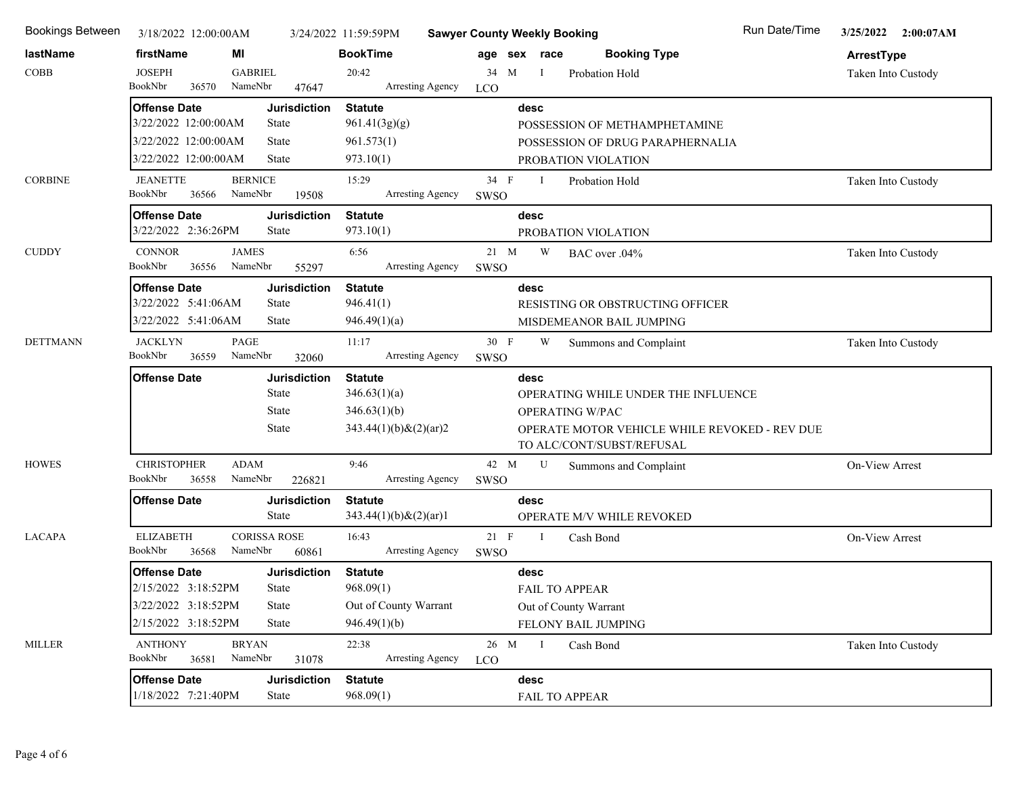| Bookings Between | 3/18/2022 12:00:00AM                         |                           |                              | 3/24/2022 11:59:59PM        | <b>Sawyer County Weekly Booking</b> |              | Run Date/Time                                                              | 3/25/2022 2:00:07AM |
|------------------|----------------------------------------------|---------------------------|------------------------------|-----------------------------|-------------------------------------|--------------|----------------------------------------------------------------------------|---------------------|
| lastName         | firstName                                    | MI                        |                              | <b>BookTime</b>             |                                     | age sex race | <b>Booking Type</b>                                                        | ArrestType          |
| <b>COBB</b>      | <b>JOSEPH</b>                                | <b>GABRIEL</b>            |                              | 20:42                       | 34 M                                | $\mathbf{I}$ | Probation Hold                                                             | Taken Into Custody  |
|                  | BookNbr<br>36570                             | NameNbr                   | 47647                        | Arresting Agency            | <b>LCO</b>                          |              |                                                                            |                     |
|                  | <b>Offense Date</b>                          |                           | <b>Jurisdiction</b>          | <b>Statute</b>              |                                     | desc         |                                                                            |                     |
|                  | 3/22/2022 12:00:00AM<br>3/22/2022 12:00:00AM |                           | State                        | 961.41(3g)(g)               |                                     |              | POSSESSION OF METHAMPHETAMINE                                              |                     |
|                  | 3/22/2022 12:00:00AM                         |                           | <b>State</b><br><b>State</b> | 961.573(1)<br>973.10(1)     |                                     |              | POSSESSION OF DRUG PARAPHERNALIA                                           |                     |
|                  |                                              |                           |                              |                             |                                     |              | PROBATION VIOLATION                                                        |                     |
| <b>CORBINE</b>   | <b>JEANETTE</b><br>BookNbr<br>36566          | <b>BERNICE</b><br>NameNbr | 19508                        | 15:29<br>Arresting Agency   | 34 F<br>SWSO                        | $\mathbf{I}$ | Probation Hold                                                             | Taken Into Custody  |
|                  | <b>Offense Date</b>                          |                           | <b>Jurisdiction</b>          | <b>Statute</b>              |                                     | desc         |                                                                            |                     |
|                  | 3/22/2022 2:36:26PM                          |                           | State                        | 973.10(1)                   |                                     |              | PROBATION VIOLATION                                                        |                     |
| <b>CUDDY</b>     | <b>CONNOR</b>                                | <b>JAMES</b>              |                              | 6:56                        | $21 \quad M$                        | W            | BAC over .04%                                                              | Taken Into Custody  |
|                  | BookNbr<br>36556                             | NameNbr                   | 55297                        | Arresting Agency            | SWSO                                |              |                                                                            |                     |
|                  | <b>Offense Date</b>                          |                           | <b>Jurisdiction</b>          | <b>Statute</b>              |                                     | desc         |                                                                            |                     |
|                  | 3/22/2022 5:41:06AM                          |                           | State                        | 946.41(1)                   |                                     |              | RESISTING OR OBSTRUCTING OFFICER                                           |                     |
|                  | 3/22/2022 5:41:06AM                          |                           | State                        | 946.49(1)(a)                |                                     |              | MISDEMEANOR BAIL JUMPING                                                   |                     |
| <b>DETTMANN</b>  | <b>JACKLYN</b><br>BookNbr                    | PAGE<br>NameNbr           |                              | 11:17                       | 30 F                                | W            | Summons and Complaint                                                      | Taken Into Custody  |
|                  | 36559                                        |                           | 32060                        | Arresting Agency            | SWSO                                |              |                                                                            |                     |
|                  |                                              |                           |                              |                             |                                     | desc         |                                                                            |                     |
|                  | <b>Offense Date</b>                          |                           | <b>Jurisdiction</b>          | <b>Statute</b>              |                                     |              |                                                                            |                     |
|                  |                                              |                           | State                        | 346.63(1)(a)                |                                     |              | OPERATING WHILE UNDER THE INFLUENCE                                        |                     |
|                  |                                              |                           | State<br><b>State</b>        | 346.63(1)(b)                |                                     |              | OPERATING W/PAC                                                            |                     |
|                  |                                              |                           |                              | $343.44(1)(b)$ & $(2)(ar)2$ |                                     |              | OPERATE MOTOR VEHICLE WHILE REVOKED - REV DUE<br>TO ALC/CONT/SUBST/REFUSAL |                     |
| <b>HOWES</b>     | <b>CHRISTOPHER</b>                           | <b>ADAM</b>               |                              | 9:46                        | 42 M                                | $\mathbf U$  | Summons and Complaint                                                      | On-View Arrest      |
|                  | BookNbr<br>36558                             | NameNbr                   | 226821                       | <b>Arresting Agency</b>     | SWSO                                |              |                                                                            |                     |
|                  | <b>Offense Date</b>                          |                           | <b>Jurisdiction</b>          | <b>Statute</b>              |                                     | desc         |                                                                            |                     |
|                  |                                              |                           | <b>State</b>                 | $343.44(1)(b)$ & $(2)(ar)1$ |                                     |              | OPERATE M/V WHILE REVOKED                                                  |                     |
| <b>LACAPA</b>    | <b>ELIZABETH</b>                             |                           | <b>CORISSA ROSE</b>          | 16:43                       | $21 \quad F$                        | $\mathbf{I}$ | Cash Bond                                                                  | On-View Arrest      |
|                  | BookNbr<br>36568                             | NameNbr                   | 60861                        | Arresting Agency            | <b>SWSO</b>                         |              |                                                                            |                     |
|                  | <b>Offense Date</b>                          |                           | <b>Jurisdiction</b>          | <b>Statute</b>              |                                     | desc         |                                                                            |                     |
|                  | 2/15/2022 3:18:52PM                          |                           | State                        | 968.09(1)                   |                                     |              | <b>FAIL TO APPEAR</b>                                                      |                     |
|                  | 3/22/2022 3:18:52PM                          |                           | State                        | Out of County Warrant       |                                     |              | Out of County Warrant                                                      |                     |
|                  | 2/15/2022 3:18:52PM                          |                           | State                        | 946.49(1)(b)                |                                     |              | FELONY BAIL JUMPING                                                        |                     |
| <b>MILLER</b>    | <b>ANTHONY</b><br>BookNbr<br>36581           | <b>BRYAN</b><br>NameNbr   | 31078                        | 22:38<br>Arresting Agency   | 26 M<br><b>LCO</b>                  | $\mathbf{I}$ | Cash Bond                                                                  | Taken Into Custody  |
|                  | <b>Offense Date</b>                          |                           | <b>Jurisdiction</b>          | <b>Statute</b>              |                                     | desc         |                                                                            |                     |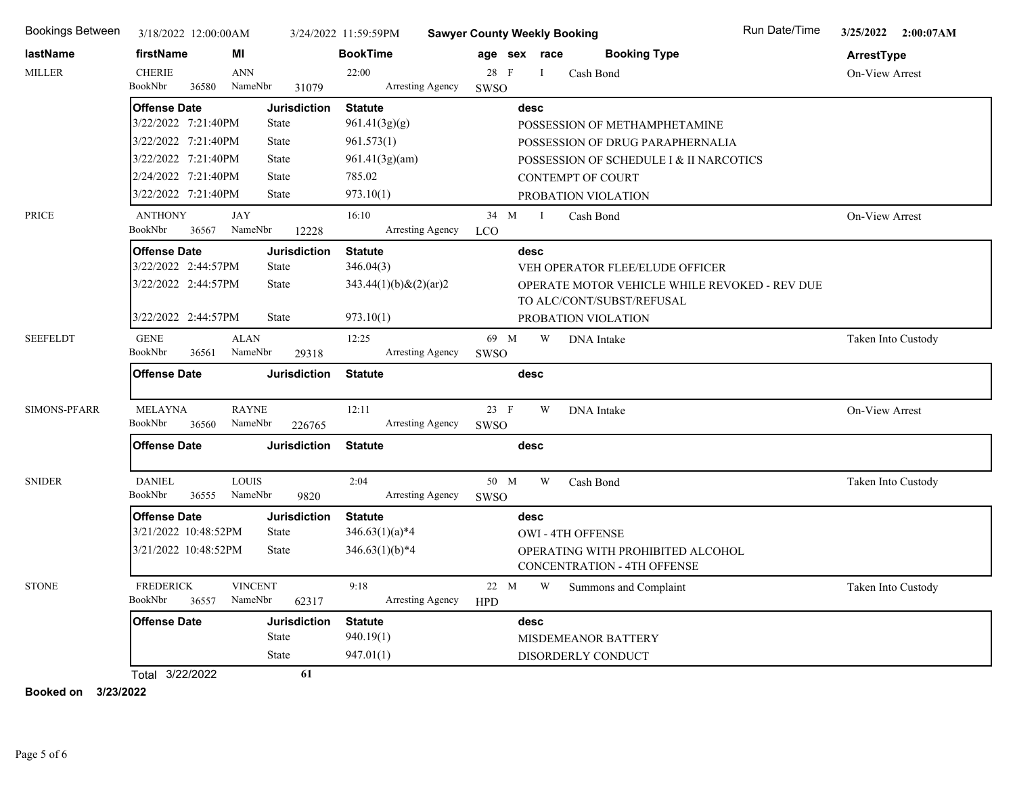| Bookings Between    | 3/18/2022 12:00:00AM                       |                           |                              | 3/24/2022 11:59:59PM        | <b>Sawyer County Weekly Booking</b> |              |                                                                         | Run Date/Time | 3/25/2022 2:00:07AM |
|---------------------|--------------------------------------------|---------------------------|------------------------------|-----------------------------|-------------------------------------|--------------|-------------------------------------------------------------------------|---------------|---------------------|
| lastName            | firstName                                  | МI                        |                              | <b>BookTime</b>             |                                     | age sex race | <b>Booking Type</b>                                                     |               | ArrestType          |
| <b>MILLER</b>       | <b>CHERIE</b>                              | <b>ANN</b>                |                              | 22:00                       | 28 F                                | $\bf{I}$     | Cash Bond                                                               |               | On-View Arrest      |
|                     | BookNbr<br>36580                           | NameNbr                   | 31079                        | Arresting Agency            | SWSO                                |              |                                                                         |               |                     |
|                     | <b>Offense Date</b>                        |                           | <b>Jurisdiction</b>          | <b>Statute</b>              |                                     | desc         |                                                                         |               |                     |
|                     | 3/22/2022 7:21:40PM                        |                           | State                        | 961.41(3g)(g)               |                                     |              | POSSESSION OF METHAMPHETAMINE                                           |               |                     |
|                     | 3/22/2022 7:21:40PM                        |                           | <b>State</b>                 | 961.573(1)                  |                                     |              | POSSESSION OF DRUG PARAPHERNALIA                                        |               |                     |
|                     | 3/22/2022 7:21:40PM                        |                           | <b>State</b>                 | 961.41(3g)(am)              |                                     |              | POSSESSION OF SCHEDULE I & II NARCOTICS                                 |               |                     |
|                     | 2/24/2022 7:21:40PM                        |                           | State                        | 785.02                      |                                     |              | <b>CONTEMPT OF COURT</b>                                                |               |                     |
|                     | 3/22/2022 7:21:40PM                        |                           | <b>State</b>                 | 973.10(1)                   |                                     |              | PROBATION VIOLATION                                                     |               |                     |
| PRICE               | <b>ANTHONY</b><br>36567<br>BookNbr         | <b>JAY</b><br>NameNbr     |                              | 16:10<br>Arresting Agency   | 34 M<br><b>LCO</b>                  | $\mathbf{I}$ | Cash Bond                                                               |               | On-View Arrest      |
|                     |                                            |                           | 12228                        |                             |                                     |              |                                                                         |               |                     |
|                     | <b>Offense Date</b><br>3/22/2022 2:44:57PM |                           | <b>Jurisdiction</b><br>State | <b>Statute</b><br>346.04(3) |                                     | desc         | VEH OPERATOR FLEE/ELUDE OFFICER                                         |               |                     |
|                     | 3/22/2022 2:44:57PM                        |                           | <b>State</b>                 | $343.44(1)(b) \& (2)(ar)2$  |                                     |              | OPERATE MOTOR VEHICLE WHILE REVOKED - REV DUE                           |               |                     |
|                     |                                            |                           |                              |                             |                                     |              | TO ALC/CONT/SUBST/REFUSAL                                               |               |                     |
|                     | 3/22/2022 2:44:57PM                        |                           | <b>State</b>                 | 973.10(1)                   |                                     |              | PROBATION VIOLATION                                                     |               |                     |
| <b>SEEFELDT</b>     | <b>GENE</b>                                | <b>ALAN</b>               |                              | 12:25                       | 69 M                                | W            | DNA Intake                                                              |               | Taken Into Custody  |
|                     | BookNbr<br>36561                           | NameNbr                   | 29318                        | Arresting Agency            | SWSO                                |              |                                                                         |               |                     |
|                     | <b>Offense Date</b>                        |                           | <b>Jurisdiction</b>          | <b>Statute</b>              |                                     | desc         |                                                                         |               |                     |
| <b>SIMONS-PFARR</b> | MELAYNA<br>BookNbr<br>36560                | <b>RAYNE</b><br>NameNbr   | 226765                       | 12:11<br>Arresting Agency   | 23 F<br>SWSO                        | W            | <b>DNA</b> Intake                                                       |               | On-View Arrest      |
|                     | <b>Offense Date</b>                        |                           | <b>Jurisdiction</b>          | <b>Statute</b>              |                                     | desc         |                                                                         |               |                     |
| <b>SNIDER</b>       | <b>DANIEL</b><br>BookNbr<br>36555          | <b>LOUIS</b><br>NameNbr   | 9820                         | 2:04<br>Arresting Agency    | 50 M<br>SWSO                        | W            | Cash Bond                                                               |               | Taken Into Custody  |
|                     | <b>Offense Date</b>                        |                           | <b>Jurisdiction</b>          | <b>Statute</b>              |                                     | desc         |                                                                         |               |                     |
|                     | 3/21/2022 10:48:52PM                       |                           | State                        | $346.63(1)(a)*4$            |                                     |              | <b>OWI - 4TH OFFENSE</b>                                                |               |                     |
|                     | 3/21/2022 10:48:52PM                       |                           | <b>State</b>                 | $346.63(1)(b)*4$            |                                     |              | OPERATING WITH PROHIBITED ALCOHOL<br><b>CONCENTRATION - 4TH OFFENSE</b> |               |                     |
| <b>STONE</b>        | <b>FREDERICK</b><br>BookNbr<br>36557       | <b>VINCENT</b><br>NameNbr | 62317                        | 9:18<br>Arresting Agency    | 22 M<br><b>HPD</b>                  | W            | Summons and Complaint                                                   |               | Taken Into Custody  |
|                     | <b>Offense Date</b>                        |                           | <b>Jurisdiction</b>          | <b>Statute</b>              |                                     | desc         |                                                                         |               |                     |
|                     |                                            |                           | State                        | 940.19(1)                   |                                     |              | MISDEMEANOR BATTERY                                                     |               |                     |
|                     |                                            |                           | <b>State</b>                 | 947.01(1)                   |                                     |              | DISORDERLY CONDUCT                                                      |               |                     |
|                     | Total 3/22/2022                            |                           | 61                           |                             |                                     |              |                                                                         |               |                     |

**Booked on 3/23/2022**